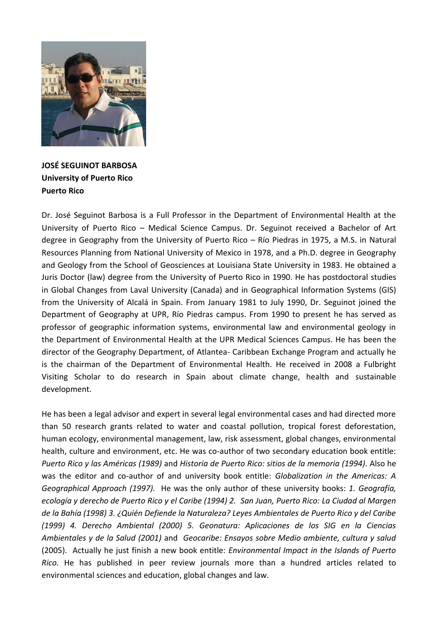

**JOSÉ SEGUINOT BARBOSA University of Puerto Rico Puerto Rico**

Dr. José Seguinot Barbosa is a Full Professor in the Department of Environmental Health at the University of Puerto Rico – Medical Science Campus. Dr. Seguinot received a Bachelor of Art degree in Geography from the University of Puerto Rico – Río Piedras in 1975, a M.S. in Natural Resources Planning from National University of Mexico in 1978, and a Ph.D. degree in Geography and Geology from the School of Geosciences at Louisiana State University in 1983. He obtained a Juris Doctor (law) degree from the University of Puerto Rico in 1990. He has postdoctoral studies in Global Changes from Laval University (Canada) and in Geographical Information Systems (GIS) from the University of Alcalá in Spain. From January 1981 to July 1990, Dr. Seguinot joined the Department of Geography at UPR, Río Piedras campus. From 1990 to present he has served as professor of geographic information systems, environmental law and environmental geology in the Department of Environmental Health at the UPR Medical Sciences Campus. He has been the director of the Geography Department, of Atlantea- Caribbean Exchange Program and actually he is the chairman of the Department of Environmental Health. He received in 2008 a Fulbright Visiting Scholar to do research in Spain about climate change, health and sustainable development.

He has been a legal advisor and expert in several legal environmental cases and had directed more than 50 research grants related to water and coastal pollution, tropical forest deforestation, human ecology, environmental management, law, risk assessment, global changes, environmental health, culture and environment, etc. He was co-author of two secondary education book entitle: *Puerto Rico y las Américas (1989)* and *Historia de Puerto Rico: sitios de la memoria (1994)*. Also he was the editor and co-author of and university book entitle: *Globalization in the Americas: A Geographical Approach (1997).* He was the only author of these university books: *1. Geografía, ecología y derecho de Puerto Rico y el Caribe (1994) 2. San Juan, Puerto Rico: La Ciudad al Margen de la Bahía (1998) 3. ¿Quién Defiende la Naturaleza? Leyes Ambientales de Puerto Rico y del Caribe (1999) 4. Derecho Ambiental (2000) 5. Geonatura: Aplicaciones de los SIG en la Ciencias Ambientales y de la Salud (2001)* and *Geocaribe: Ensayos sobre Medio ambiente, cultura y salud* (2005). Actually he just finish a new book entitle: *Environmental Impact in the Islands of Puerto Rico.* He has published in peer review journals more than a hundred articles related to environmental sciences and education, global changes and law.